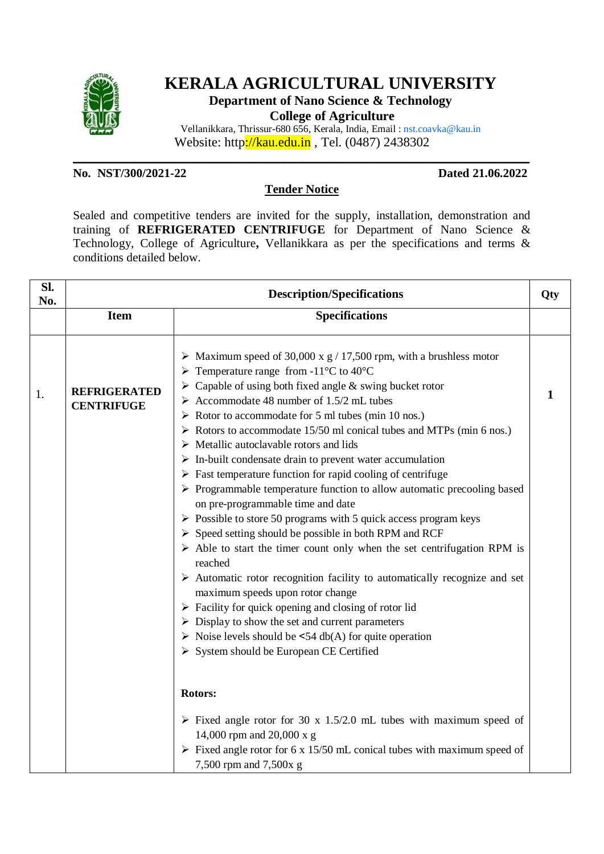

# **KERALA AGRICULTURAL UNIVERSITY**

**Department of Nano Science & Technology**

**College of Agriculture**

Vellanikkara, Thrissur-680 656, Kerala, India, Email : nst.coavka@kau.in Website: http://kau.edu.in , Tel. (0487) 2438302

**No. NST/300/2021-22 Dated 21.06.2022**

### **Tender Notice**

**\_\_\_\_\_\_\_\_\_\_\_\_\_\_\_\_\_\_\_\_\_\_\_\_\_\_\_\_\_\_\_\_\_\_\_\_\_\_\_\_\_\_\_\_\_\_\_\_\_\_\_\_\_\_\_\_\_\_\_\_\_\_\_\_\_\_\_\_\_\_\_\_\_\_\_**

Sealed and competitive tenders are invited for the supply, installation, demonstration and training of **REFRIGERATED CENTRIFUGE** for Department of Nano Science & Technology, College of Agriculture**,** Vellanikkara as per the specifications and terms & conditions detailed below.

| Sl.<br>No. | <b>Description/Specifications</b>        |                                                                                                                                                                                                                                                                                                                                                                                                                                                                                                                                                                                                                                                                                                                                                                                                                                                                                                                                                                                                                                                                                                                                                                                                                                                                                                                                                                                                                                                              | Qty |
|------------|------------------------------------------|--------------------------------------------------------------------------------------------------------------------------------------------------------------------------------------------------------------------------------------------------------------------------------------------------------------------------------------------------------------------------------------------------------------------------------------------------------------------------------------------------------------------------------------------------------------------------------------------------------------------------------------------------------------------------------------------------------------------------------------------------------------------------------------------------------------------------------------------------------------------------------------------------------------------------------------------------------------------------------------------------------------------------------------------------------------------------------------------------------------------------------------------------------------------------------------------------------------------------------------------------------------------------------------------------------------------------------------------------------------------------------------------------------------------------------------------------------------|-----|
|            | <b>Item</b>                              | <b>Specifications</b>                                                                                                                                                                                                                                                                                                                                                                                                                                                                                                                                                                                                                                                                                                                                                                                                                                                                                                                                                                                                                                                                                                                                                                                                                                                                                                                                                                                                                                        |     |
| 1.         | <b>REFRIGERATED</b><br><b>CENTRIFUGE</b> | $\triangleright$ Maximum speed of 30,000 x g / 17,500 rpm, with a brushless motor<br>> Temperature range from -11 <sup>o</sup> C to 40 <sup>o</sup> C<br>$\triangleright$ Capable of using both fixed angle & swing bucket rotor<br>$\triangleright$ Accommodate 48 number of 1.5/2 mL tubes<br>$\triangleright$ Rotor to accommodate for 5 ml tubes (min 10 nos.)<br>$\triangleright$ Rotors to accommodate 15/50 ml conical tubes and MTPs (min 6 nos.)<br>Metallic autoclavable rotors and lids<br>$\triangleright$ In-built condensate drain to prevent water accumulation<br>$\triangleright$ Fast temperature function for rapid cooling of centrifuge<br>$\triangleright$ Programmable temperature function to allow automatic precooling based<br>on pre-programmable time and date<br>$\triangleright$ Possible to store 50 programs with 5 quick access program keys<br>$\triangleright$ Speed setting should be possible in both RPM and RCF<br>$\triangleright$ Able to start the timer count only when the set centrifugation RPM is<br>reached<br>$\triangleright$ Automatic rotor recognition facility to automatically recognize and set<br>maximum speeds upon rotor change<br>$\triangleright$ Facility for quick opening and closing of rotor lid<br>$\triangleright$ Display to show the set and current parameters<br>$\triangleright$ Noise levels should be <54 db(A) for quite operation<br>> System should be European CE Certified | 1   |
|            |                                          | Rotors:<br>$\triangleright$ Fixed angle rotor for 30 x 1.5/2.0 mL tubes with maximum speed of<br>14,000 rpm and 20,000 x g<br>$\triangleright$ Fixed angle rotor for 6 x 15/50 mL conical tubes with maximum speed of<br>7,500 rpm and 7,500x g                                                                                                                                                                                                                                                                                                                                                                                                                                                                                                                                                                                                                                                                                                                                                                                                                                                                                                                                                                                                                                                                                                                                                                                                              |     |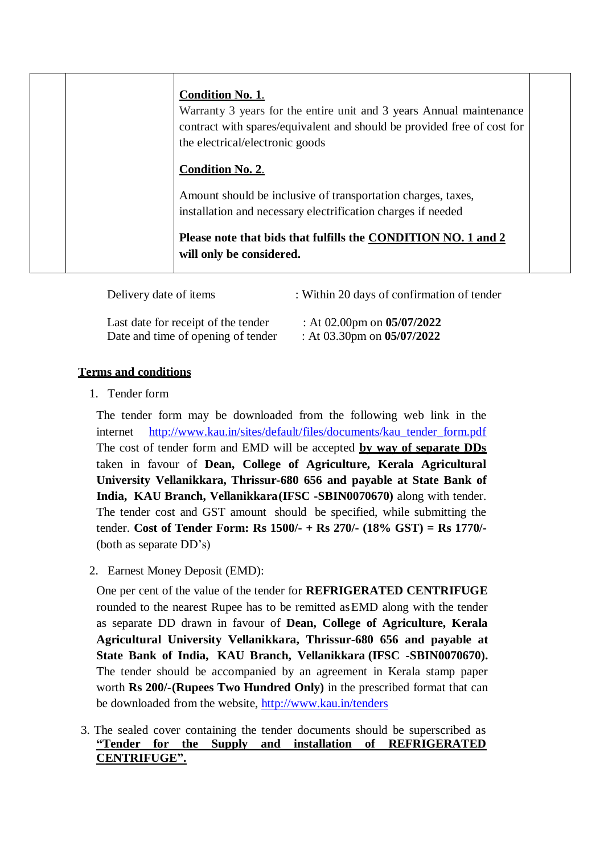| <b>Condition No. 1.</b><br>Warranty 3 years for the entire unit and 3 years Annual maintenance<br>contract with spares/equivalent and should be provided free of cost for<br>the electrical/electronic goods |  |
|--------------------------------------------------------------------------------------------------------------------------------------------------------------------------------------------------------------|--|
| <b>Condition No. 2.</b>                                                                                                                                                                                      |  |
| Amount should be inclusive of transportation charges, taxes,<br>installation and necessary electrification charges if needed                                                                                 |  |
| Please note that bids that fulfills the CONDITION NO. 1 and 2<br>will only be considered.                                                                                                                    |  |

| Delivery date of items              | : Within 20 days of confirmation of tender |
|-------------------------------------|--------------------------------------------|
| Last date for receipt of the tender | : At 02.00pm on $05/07/2022$               |
| Date and time of opening of tender  | : At 03.30pm on $05/07/2022$               |

## **Terms and conditions**

1. Tender form

The tender form may be downloaded from the following web link in the internet http://www.kau.in/sites/default/files/documents/kau tender form.pdf The cost of tender form and EMD will be accepted **by way of separate DDs** taken in favour of **Dean, College of Agriculture, Kerala Agricultural University Vellanikkara, Thrissur-680 656 and payable at State Bank of India, KAU Branch, Vellanikkara(IFSC -SBIN0070670)** along with tender. The tender cost and GST amount should be specified, while submitting the tender. **Cost of Tender Form: Rs 1500/- + Rs 270/- (18% GST) = Rs 1770/-**  (both as separate DD's)

2. Earnest Money Deposit (EMD):

One per cent of the value of the tender for **REFRIGERATED CENTRIFUGE** rounded to the nearest Rupee has to be remitted asEMD along with the tender as separate DD drawn in favour of **Dean, College of Agriculture, Kerala Agricultural University Vellanikkara, Thrissur-680 656 and payable at State Bank of India, KAU Branch, Vellanikkara (IFSC -SBIN0070670).** The tender should be accompanied by an agreement in Kerala stamp paper worth **Rs 200/-(Rupees Two Hundred Only)** in the prescribed format that can be downloaded from the website, <http://www.kau.in/tenders>

3. The sealed cover containing the tender documents should be superscribed as **"Tender for the Supply and installation of REFRIGERATED CENTRIFUGE".**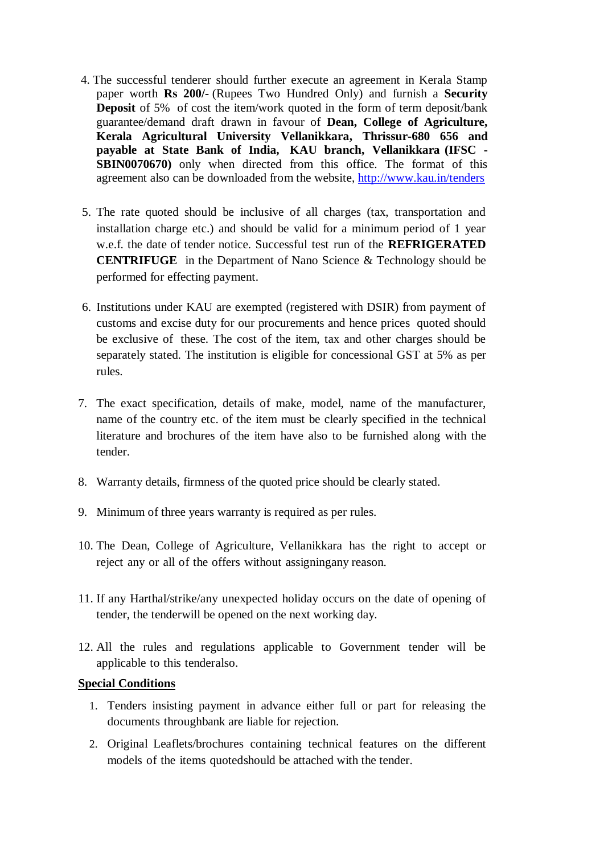- 4. The successful tenderer should further execute an agreement in Kerala Stamp paper worth **Rs 200/-** (Rupees Two Hundred Only) and furnish a **Security Deposit** of 5% of cost the item/work quoted in the form of term deposit/bank guarantee/demand draft drawn in favour of **Dean, College of Agriculture, Kerala Agricultural University Vellanikkara, Thrissur-680 656 and payable at State Bank of India, KAU branch, Vellanikkara (IFSC - SBIN0070670)** only when directed from this office. The format of this agreement also can be downloaded from the website, <http://www.kau.in/tenders>
- 5. The rate quoted should be inclusive of all charges (tax, transportation and installation charge etc.) and should be valid for a minimum period of 1 year w.e.f. the date of tender notice. Successful test run of the **REFRIGERATED CENTRIFUGE** in the Department of Nano Science & Technology should be performed for effecting payment.
- 6. Institutions under KAU are exempted (registered with DSIR) from payment of customs and excise duty for our procurements and hence prices quoted should be exclusive of these. The cost of the item, tax and other charges should be separately stated. The institution is eligible for concessional GST at 5% as per rules.
- 7. The exact specification, details of make, model, name of the manufacturer, name of the country etc. of the item must be clearly specified in the technical literature and brochures of the item have also to be furnished along with the tender.
- 8. Warranty details, firmness of the quoted price should be clearly stated.
- 9. Minimum of three years warranty is required as per rules.
- 10. The Dean, College of Agriculture, Vellanikkara has the right to accept or reject any or all of the offers without assigningany reason.
- 11. If any Harthal/strike/any unexpected holiday occurs on the date of opening of tender, the tenderwill be opened on the next working day.
- 12. All the rules and regulations applicable to Government tender will be applicable to this tenderalso.

### **Special Conditions**

- 1. Tenders insisting payment in advance either full or part for releasing the documents throughbank are liable for rejection.
- 2. Original Leaflets/brochures containing technical features on the different models of the items quotedshould be attached with the tender.